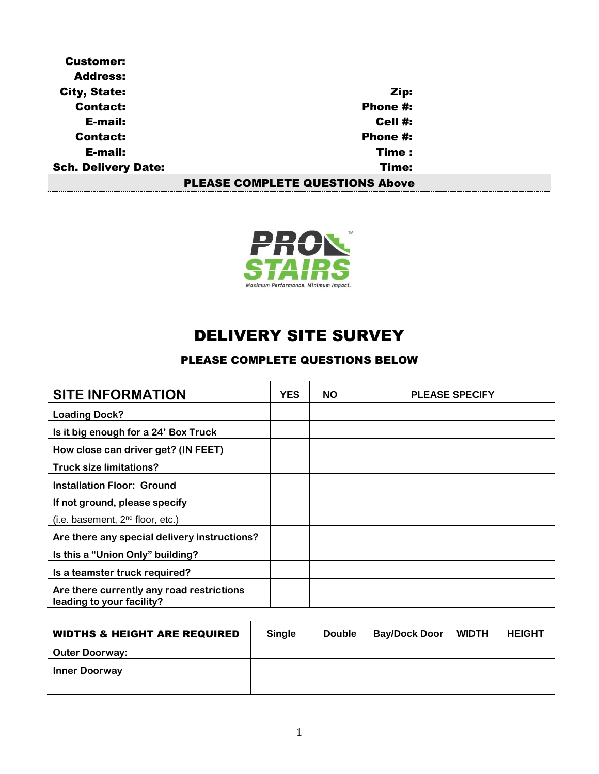| <b>Customer:</b>                       |          |  |  |  |
|----------------------------------------|----------|--|--|--|
| <b>Address:</b>                        |          |  |  |  |
| <b>City, State:</b>                    | Zip:     |  |  |  |
| <b>Contact:</b>                        | Phone #: |  |  |  |
| E-mail:                                | Cell #:  |  |  |  |
| <b>Contact:</b>                        | Phone #: |  |  |  |
| E-mail:                                | Time:    |  |  |  |
| <b>Sch. Delivery Date:</b>             | Time:    |  |  |  |
| <b>PLEASE COMPLETE QUESTIONS Above</b> |          |  |  |  |



## DELIVERY SITE SURVEY

## PLEASE COMPLETE QUESTIONS BELOW

| <b>SITE INFORMATION</b>                                                | <b>YES</b> | <b>NO</b> | <b>PLEASE SPECIFY</b> |
|------------------------------------------------------------------------|------------|-----------|-----------------------|
| <b>Loading Dock?</b>                                                   |            |           |                       |
| Is it big enough for a 24' Box Truck                                   |            |           |                       |
| How close can driver get? (IN FEET)                                    |            |           |                       |
| <b>Truck size limitations?</b>                                         |            |           |                       |
| Installation Floor: Ground                                             |            |           |                       |
| If not ground, please specify                                          |            |           |                       |
| (i.e. basement, $2nd$ floor, etc.)                                     |            |           |                       |
| Are there any special delivery instructions?                           |            |           |                       |
| Is this a "Union Only" building?                                       |            |           |                       |
| Is a teamster truck required?                                          |            |           |                       |
| Are there currently any road restrictions<br>leading to your facility? |            |           |                       |

| <b>WIDTHS &amp; HEIGHT ARE REQUIRED</b> | <b>Single</b> | <b>Double</b> | <b>Bay/Dock Door</b> | <b>WIDTH</b> | <b>HEIGHT</b> |
|-----------------------------------------|---------------|---------------|----------------------|--------------|---------------|
| <b>Outer Doorway:</b>                   |               |               |                      |              |               |
| <b>Inner Doorway</b>                    |               |               |                      |              |               |
|                                         |               |               |                      |              |               |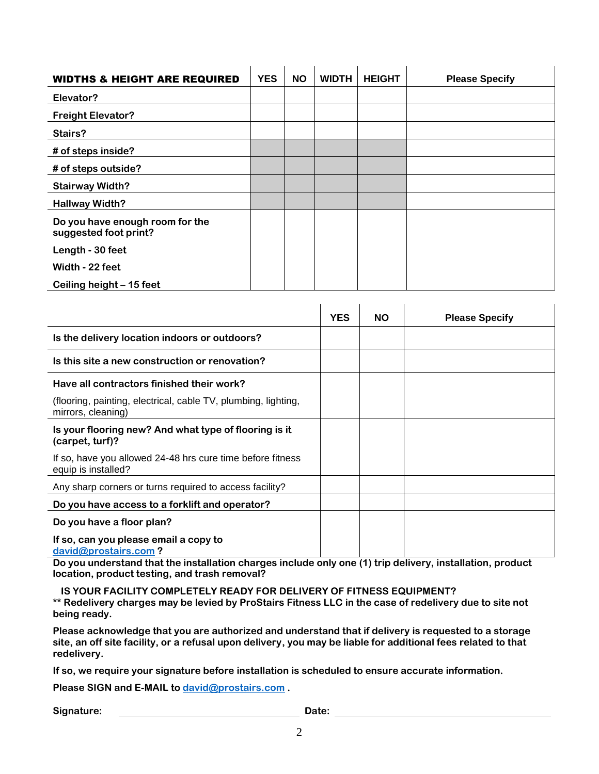| <b>WIDTHS &amp; HEIGHT ARE REQUIRED</b>                  | <b>YES</b> | <b>NO</b> | <b>WIDTH</b> | <b>HEIGHT</b> | <b>Please Specify</b> |
|----------------------------------------------------------|------------|-----------|--------------|---------------|-----------------------|
| Elevator?                                                |            |           |              |               |                       |
| <b>Freight Elevator?</b>                                 |            |           |              |               |                       |
| Stairs?                                                  |            |           |              |               |                       |
| # of steps inside?                                       |            |           |              |               |                       |
| # of steps outside?                                      |            |           |              |               |                       |
| <b>Stairway Width?</b>                                   |            |           |              |               |                       |
| <b>Hallway Width?</b>                                    |            |           |              |               |                       |
| Do you have enough room for the<br>suggested foot print? |            |           |              |               |                       |
| Length - 30 feet                                         |            |           |              |               |                       |
| Width - 22 feet                                          |            |           |              |               |                       |
| Ceiling height - 15 feet                                 |            |           |              |               |                       |

|                                                                                      | <b>YES</b> | <b>NO</b> | <b>Please Specify</b> |
|--------------------------------------------------------------------------------------|------------|-----------|-----------------------|
| Is the delivery location indoors or outdoors?                                        |            |           |                       |
| Is this site a new construction or renovation?                                       |            |           |                       |
| Have all contractors finished their work?                                            |            |           |                       |
| (flooring, painting, electrical, cable TV, plumbing, lighting,<br>mirrors, cleaning) |            |           |                       |
| Is your flooring new? And what type of flooring is it<br>(carpet, turf)?             |            |           |                       |
| If so, have you allowed 24-48 hrs cure time before fitness<br>equip is installed?    |            |           |                       |
| Any sharp corners or turns required to access facility?                              |            |           |                       |
| Do you have access to a forklift and operator?                                       |            |           |                       |
| Do you have a floor plan?                                                            |            |           |                       |
| If so, can you please email a copy to<br>david@prostairs.com?                        |            |           |                       |

**Do you understand that the installation charges include only one (1) trip delivery, installation, product location, product testing, and trash removal?**

 **IS YOUR FACILITY COMPLETELY READY FOR DELIVERY OF FITNESS EQUIPMENT? \*\* Redelivery charges may be levied by ProStairs Fitness LLC in the case of redelivery due to site not being ready.**

**Please acknowledge that you are authorized and understand that if delivery is requested to a storage site, an off site facility, or a refusal upon delivery, you may be liable for additional fees related to that redelivery.**

**If so, we require your signature before installation is scheduled to ensure accurate information.**

**Please SIGN and E-MAIL to [david@prostairs.com](mailto:david@prostairs.com) .**

Signature: <u>Date:</u> Date: Date: Date: Date: Date: Date: Date: Date: Date: Date: Date: Date: Date: Date: Date: Date: Date: Date: Date: Date: Date: Date: Date: Date: Date: Date: Date: Date: Date: Date: Date: Date: Date: Date: